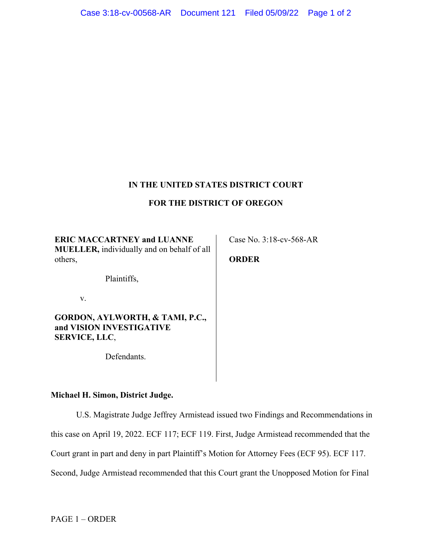## **IN THE UNITED STATES DISTRICT COURT**

## **FOR THE DISTRICT OF OREGON**

**ERIC MACCARTNEY and LUANNE MUELLER,** individually and on behalf of all others,

**ORDER**

Case No. 3:18-cv-568-AR

Plaintiffs,

v.

**GORDON, AYLWORTH, & TAMI, P.C., and VISION INVESTIGATIVE SERVICE, LLC**,

Defendants.

**Michael H. Simon, District Judge.**

U.S. Magistrate Judge Jeffrey Armistead issued two Findings and Recommendations in this case on April 19, 2022. ECF 117; ECF 119. First, Judge Armistead recommended that the Court grant in part and deny in part Plaintiff's Motion for Attorney Fees (ECF 95). ECF 117. Second, Judge Armistead recommended that this Court grant the Unopposed Motion for Final